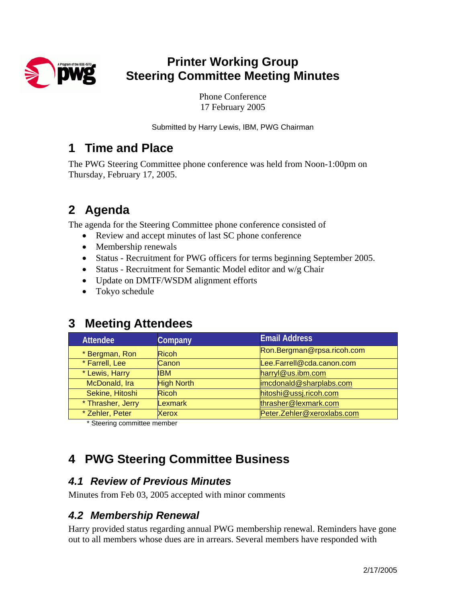

# **Printer Working Group Steering Committee Meeting Minutes**

Phone Conference 17 February 2005

Submitted by Harry Lewis, IBM, PWG Chairman

## **1 Time and Place**

The PWG Steering Committee phone conference was held from Noon-1:00pm on Thursday, February 17, 2005.

# **2 Agenda**

The agenda for the Steering Committee phone conference consisted of

- Review and accept minutes of last SC phone conference
- Membership renewals
- Status Recruitment for PWG officers for terms beginning September 2005.
- Status Recruitment for Semantic Model editor and w/g Chair
- Update on DMTF/WSDM alignment efforts
- Tokyo schedule

## **3 Meeting Attendees**

| <b>Attendee</b>   | Company           | <b>Email Address</b>       |
|-------------------|-------------------|----------------------------|
| * Bergman, Ron    | <b>Ricoh</b>      | Ron.Bergman@rpsa.ricoh.com |
| * Farrell, Lee    | <b>Canon</b>      | Lee.Farrell@cda.canon.com  |
| * Lewis, Harry    | <b>IBM</b>        | harryl@us.ibm.com          |
| McDonald, Ira     | <b>High North</b> | imcdonald@sharplabs.com    |
| Sekine, Hitoshi   | <b>Ricoh</b>      | hitoshi@ussj.ricoh.com     |
| * Thrasher, Jerry | Lexmark           | thrasher@lexmark.com       |
| * Zehler, Peter   | <b>Xerox</b>      | Peter.Zehler@xeroxlabs.com |

\* Steering committee member

# **4 PWG Steering Committee Business**

### *4.1 Review of Previous Minutes*

Minutes from Feb 03, 2005 accepted with minor comments

### *4.2 Membership Renewal*

Harry provided status regarding annual PWG membership renewal. Reminders have gone out to all members whose dues are in arrears. Several members have responded with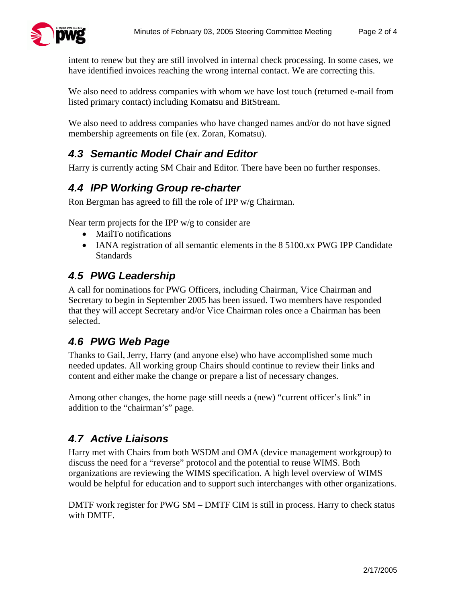

intent to renew but they are still involved in internal check processing. In some cases, we have identified invoices reaching the wrong internal contact. We are correcting this.

We also need to address companies with whom we have lost touch (returned e-mail from listed primary contact) including Komatsu and BitStream.

We also need to address companies who have changed names and/or do not have signed membership agreements on file (ex. Zoran, Komatsu).

## *4.3 Semantic Model Chair and Editor*

Harry is currently acting SM Chair and Editor. There have been no further responses.

### *4.4 IPP Working Group re-charter*

Ron Bergman has agreed to fill the role of IPP w/g Chairman.

Near term projects for the IPP  $w/g$  to consider are

- MailTo notifications
- IANA registration of all semantic elements in the 8 5100.xx PWG IPP Candidate Standards

#### *4.5 PWG Leadership*

A call for nominations for PWG Officers, including Chairman, Vice Chairman and Secretary to begin in September 2005 has been issued. Two members have responded that they will accept Secretary and/or Vice Chairman roles once a Chairman has been selected.

### *4.6 PWG Web Page*

Thanks to Gail, Jerry, Harry (and anyone else) who have accomplished some much needed updates. All working group Chairs should continue to review their links and content and either make the change or prepare a list of necessary changes.

Among other changes, the home page still needs a (new) "current officer's link" in addition to the "chairman's" page.

## *4.7 Active Liaisons*

Harry met with Chairs from both WSDM and OMA (device management workgroup) to discuss the need for a "reverse" protocol and the potential to reuse WIMS. Both organizations are reviewing the WIMS specification. A high level overview of WIMS would be helpful for education and to support such interchanges with other organizations.

DMTF work register for PWG SM – DMTF CIM is still in process. Harry to check status with DMTF.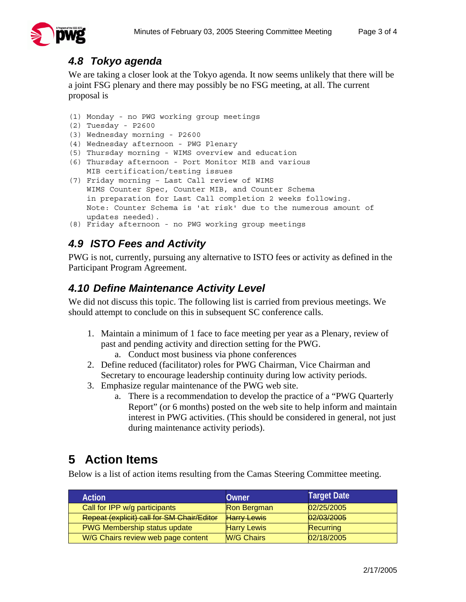

#### *4.8 Tokyo agenda*

We are taking a closer look at the Tokyo agenda. It now seems unlikely that there will be a joint FSG plenary and there may possibly be no FSG meeting, at all. The current proposal is

(1) Monday - no PWG working group meetings

```
(2) Tuesday - P2600
```
- (3) Wednesday morning P2600
- (4) Wednesday afternoon PWG Plenary
- (5) Thursday morning WIMS overview and education
- (6) Thursday afternoon Port Monitor MIB and various MIB certification/testing issues
- (7) Friday morning Last Call review of WIMS WIMS Counter Spec, Counter MIB, and Counter Schema in preparation for Last Call completion 2 weeks following. Note: Counter Schema is 'at risk' due to the numerous amount of updates needed).
- (8) Friday afternoon no PWG working group meetings

### *4.9 ISTO Fees and Activity*

PWG is not, currently, pursuing any alternative to ISTO fees or activity as defined in the Participant Program Agreement.

#### *4.10 Define Maintenance Activity Level*

We did not discuss this topic. The following list is carried from previous meetings. We should attempt to conclude on this in subsequent SC conference calls.

- 1. Maintain a minimum of 1 face to face meeting per year as a Plenary, review of past and pending activity and direction setting for the PWG.
	- a. Conduct most business via phone conferences
- 2. Define reduced (facilitator) roles for PWG Chairman, Vice Chairman and Secretary to encourage leadership continuity during low activity periods.
- 3. Emphasize regular maintenance of the PWG web site.
	- a. There is a recommendation to develop the practice of a "PWG Quarterly Report" (or 6 months) posted on the web site to help inform and maintain interest in PWG activities. (This should be considered in general, not just during maintenance activity periods).

# **5 Action Items**

Below is a list of action items resulting from the Camas Steering Committee meeting.

| <b>Action</b>                              | Owner              | <b>Target Date</b> |
|--------------------------------------------|--------------------|--------------------|
| Call for IPP w/g participants              | Ron Bergman        | 02/25/2005         |
| Repeat (explicit) call for SM Chair/Editor | <b>Harry Lewis</b> | 02/03/2005         |
| <b>PWG Membership status update</b>        | <b>Harry Lewis</b> | Recurring          |
| W/G Chairs review web page content         | <b>W/G Chairs</b>  | 02/18/2005         |